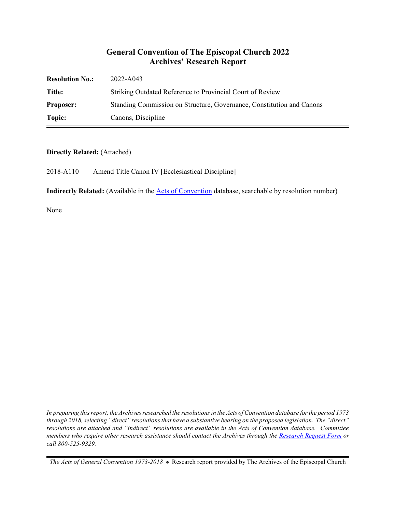### **General Convention of The Episcopal Church 2022 Archives' Research Report**

| <b>Resolution No.:</b> | 2022-A043                                                             |
|------------------------|-----------------------------------------------------------------------|
| Title:                 | Striking Outdated Reference to Provincial Court of Review             |
| <b>Proposer:</b>       | Standing Commission on Structure, Governance, Constitution and Canons |
| Topic:                 | Canons, Discipline                                                    |

#### **Directly Related:** (Attached)

2018-A110 Amend Title Canon IV [Ecclesiastical Discipline]

**Indirectly Related:** (Available in the [Acts of Convention](https://www.episcopalarchives.org/e-archives/acts/) database, searchable by resolution number)

None

*In preparing this report, the Archives researched the resolutions in the Acts of Convention database for the period 1973 through 2018, selecting "direct" resolutions that have a substantive bearing on the proposed legislation. The "direct" resolutions are attached and "indirect" resolutions are available in the Acts of Convention database. Committee members who require other research assistance should contact the Archives through the Research [Request Form](https://www.episcopalarchives.org/contact/research-request-form) or call 800-525-9329.*

*The Acts of General Convention 1973-2018*  $*$  Research report provided by The Archives of the Episcopal Church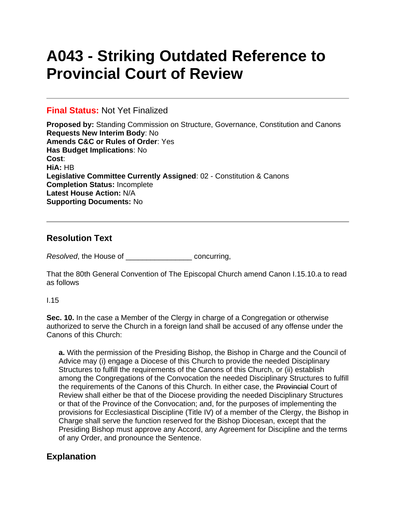# **A043 - Striking Outdated Reference to Provincial Court of Review**

#### **Final Status:** Not Yet Finalized

**Proposed by:** Standing Commission on Structure, Governance, Constitution and Canons **Requests New Interim Body**: No **Amends C&C or Rules of Order**: Yes **Has Budget Implications**: No **Cost**: **HiA:** HB **Legislative Committee Currently Assigned**: 02 - Constitution & Canons **Completion Status:** Incomplete **Latest House Action:** N/A **Supporting Documents:** No

## **Resolution Text**

*Resolved*, the House of \_\_\_\_\_\_\_\_\_\_\_\_\_\_\_\_ concurring,

That the 80th General Convention of The Episcopal Church amend Canon I.15.10.a to read as follows

#### I.15

**Sec. 10.** In the case a Member of the Clergy in charge of a Congregation or otherwise authorized to serve the Church in a foreign land shall be accused of any offense under the Canons of this Church:

**a.** With the permission of the Presiding Bishop, the Bishop in Charge and the Council of Advice may (i) engage a Diocese of this Church to provide the needed Disciplinary Structures to fulfill the requirements of the Canons of this Church, or (ii) establish among the Congregations of the Convocation the needed Disciplinary Structures to fulfill the requirements of the Canons of this Church. In either case, the Provincial Court of Review shall either be that of the Diocese providing the needed Disciplinary Structures or that of the Province of the Convocation; and, for the purposes of implementing the provisions for Ecclesiastical Discipline (Title IV) of a member of the Clergy, the Bishop in Charge shall serve the function reserved for the Bishop Diocesan, except that the Presiding Bishop must approve any Accord, any Agreement for Discipline and the terms of any Order, and pronounce the Sentence.

# **Explanation**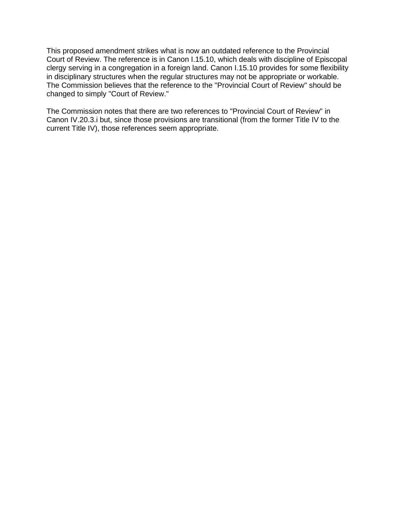This proposed amendment strikes what is now an outdated reference to the Provincial Court of Review. The reference is in Canon I.15.10, which deals with discipline of Episcopal clergy serving in a congregation in a foreign land. Canon I.15.10 provides for some flexibility in disciplinary structures when the regular structures may not be appropriate or workable. The Commission believes that the reference to the "Provincial Court of Review" should be changed to simply "Court of Review."

The Commission notes that there are two references to "Provincial Court of Review" in Canon IV.20.3.i but, since those provisions are transitional (from the former Title IV to the current Title IV), those references seem appropriate.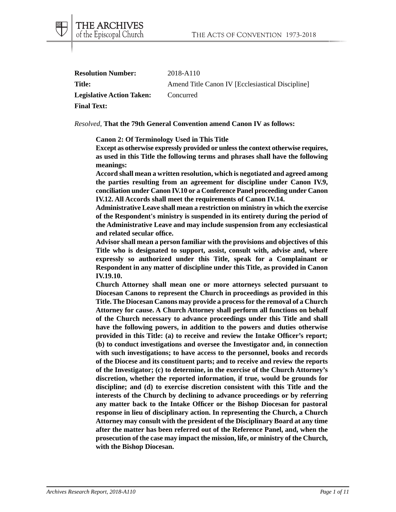| <b>Resolution Number:</b>        | 2018-A110                                        |
|----------------------------------|--------------------------------------------------|
| <b>Title:</b>                    | Amend Title Canon IV [Ecclesiastical Discipline] |
| <b>Legislative Action Taken:</b> | Concurred                                        |
| <b>Final Text:</b>               |                                                  |

*Resolved*, **That the 79th General Convention amend Canon IV as follows:**

**Canon 2: Of Terminology Used in This Title**

THE ARCHIVES of the Episcopal Church

> **Except as otherwise expressly provided or unless the context otherwise requires, as used in this Title the following terms and phrases shall have the following meanings:**

> **Accord shall mean a written resolution, which is negotiated and agreed among the parties resulting from an agreement for discipline under Canon IV.9, conciliation under Canon IV.10 or a Conference Panel proceeding under Canon IV.12. All Accords shall meet the requirements of Canon IV.14.**

> **Administrative Leave shall mean a restriction on ministry in which the exercise of the Respondent's ministry is suspended in its entirety during the period of the Administrative Leave and may include suspension from any ecclesiastical and related secular office.**

> **Advisor shall mean a person familiar with the provisions and objectives of this Title who is designated to support, assist, consult with, advise and, where expressly so authorized under this Title, speak for a Complainant or Respondent in any matter of discipline under this Title, as provided in Canon IV.19.10.**

> **Church Attorney shall mean one or more attorneys selected pursuant to Diocesan Canons to represent the Church in proceedings as provided in this Title. The Diocesan Canons may provide a process for the removal of a Church Attorney for cause. A Church Attorney shall perform all functions on behalf of the Church necessary to advance proceedings under this Title and shall have the following powers, in addition to the powers and duties otherwise provided in this Title: (a) to receive and review the Intake Officer's report; (b) to conduct investigations and oversee the Investigator and, in connection with such investigations; to have access to the personnel, books and records of the Diocese and its constituent parts; and to receive and review the reports of the Investigator; (c) to determine, in the exercise of the Church Attorney's discretion, whether the reported information, if true, would be grounds for discipline; and (d) to exercise discretion consistent with this Title and the interests of the Church by declining to advance proceedings or by referring any matter back to the Intake Officer or the Bishop Diocesan for pastoral response in lieu of disciplinary action. In representing the Church, a Church Attorney may consult with the president of the Disciplinary Board at any time after the matter has been referred out of the Reference Panel, and, when the prosecution of the case may impact the mission, life, or ministry of the Church, with the Bishop Diocesan.**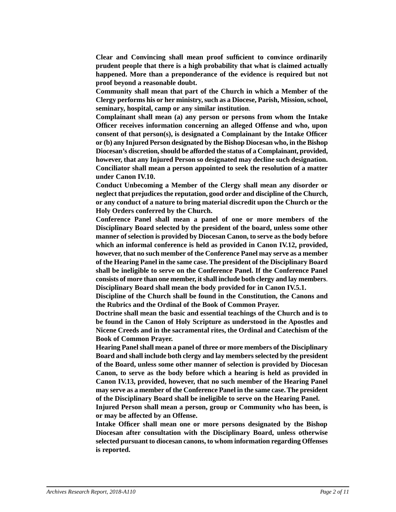**Clear and Convincing shall mean proof sufficient to convince ordinarily prudent people that there is a high probability that what is claimed actually happened. More than a preponderance of the evidence is required but not proof beyond a reasonable doubt.**

**Community shall mean that part of the Church in which a Member of the Clergy performs his or her ministry, such as a Diocese, Parish, Mission, school, seminary, hospital, camp or any similar institution**.

**Complainant shall mean (a) any person or persons from whom the Intake Officer receives information concerning an alleged Offense and who, upon consent of that person(s), is designated a Complainant by the Intake Officer or (b) any Injured Person designated by the Bishop Diocesan who, in the Bishop Diocesan's discretion, should be afforded the status of a Complainant, provided, however, that any Injured Person so designated may decline such designation. Conciliator shall mean a person appointed to seek the resolution of a matter under Canon IV.10.**

**Conduct Unbecoming a Member of the Clergy shall mean any disorder or neglect that prejudices the reputation, good order and discipline of the Church, or any conduct of a nature to bring material discredit upon the Church or the Holy Orders conferred by the Church.**

**Conference Panel shall mean a panel of one or more members of the Disciplinary Board selected by the president of the board, unless some other manner of selection is provided by Diocesan Canon, to serve as the body before which an informal conference is held as provided in Canon IV.12, provided, however, that no such member of the Conference Panel may serve as a member of the Hearing Panel in the same case. The president of the Disciplinary Board shall be ineligible to serve on the Conference Panel. If the Conference Panel consists of more than one member, it shall include both clergy and lay members**. **Disciplinary Board shall mean the body provided for in Canon IV.5.1.**

**Discipline of the Church shall be found in the Constitution, the Canons and the Rubrics and the Ordinal of the Book of Common Prayer.**

**Doctrine shall mean the basic and essential teachings of the Church and is to be found in the Canon of Holy Scripture as understood in the Apostles and Nicene Creeds and in the sacramental rites, the Ordinal and Catechism of the Book of Common Prayer.**

**Hearing Panel shall mean a panel of three or more members of the Disciplinary Board and shall include both clergy and lay members selected by the president of the Board, unless some other manner of selection is provided by Diocesan Canon, to serve as the body before which a hearing is held as provided in Canon IV.13, provided, however, that no such member of the Hearing Panel may serve as a member of the Conference Panel in the same case. The president of the Disciplinary Board shall be ineligible to serve on the Hearing Panel.**

**Injured Person shall mean a person, group or Community who has been, is or may be affected by an Offense.**

**Intake Officer shall mean one or more persons designated by the Bishop Diocesan after consultation with the Disciplinary Board, unless otherwise selected pursuant to diocesan canons, to whom information regarding Offenses is reported.**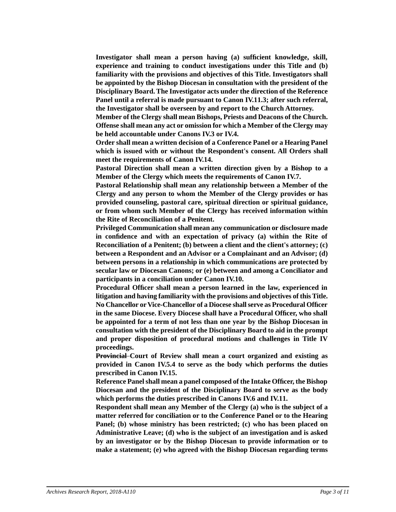**Investigator shall mean a person having (a) sufficient knowledge, skill, experience and training to conduct investigations under this Title and (b) familiarity with the provisions and objectives of this Title. Investigators shall be appointed by the Bishop Diocesan in consultation with the president of the Disciplinary Board. The Investigator acts under the direction of the Reference Panel until a referral is made pursuant to Canon IV.11.3; after such referral, the Investigator shall be overseen by and report to the Church Attorney.**

**Member of the Clergy shall mean Bishops, Priests and Deacons of the Church. Offense shall mean any act or omission for which a Member of the Clergy may be held accountable under Canons IV.3 or IV.4.**

**Order shall mean a written decision of a Conference Panel or a Hearing Panel which is issued with or without the Respondent's consent. All Orders shall meet the requirements of Canon IV.14.**

**Pastoral Direction shall mean a written direction given by a Bishop to a Member of the Clergy which meets the requirements of Canon IV.7.**

**Pastoral Relationship shall mean any relationship between a Member of the Clergy and any person to whom the Member of the Clergy provides or has provided counseling, pastoral care, spiritual direction or spiritual guidance, or from whom such Member of the Clergy has received information within the Rite of Reconciliation of a Penitent.**

**Privileged Communication shall mean any communication or disclosure made in confidence and with an expectation of privacy (a) within the Rite of Reconciliation of a Penitent; (b) between a client and the client's attorney; (c) between a Respondent and an Advisor or a Complainant and an Advisor; (d) between persons in a relationship in which communications are protected by secular law or Diocesan Canons; or (e) between and among a Conciliator and participants in a conciliation under Canon IV.10.**

**Procedural Officer shall mean a person learned in the law, experienced in litigation and having familiarity with the provisions and objectives of this Title. No Chancellor or Vice-Chancellor of a Diocese shall serve as Procedural Officer in the same Diocese. Every Diocese shall have a Procedural Officer, who shall be appointed for a term of not less than one year by the Bishop Diocesan in consultation with the president of the Disciplinary Board to aid in the prompt and proper disposition of procedural motions and challenges in Title IV proceedings.**

**Provincial Court of Review shall mean a court organized and existing as provided in Canon IV.5.4 to serve as the body which performs the duties prescribed in Canon IV.15.**

**Reference Panel shall mean a panel composed of the Intake Officer, the Bishop Diocesan and the president of the Disciplinary Board to serve as the body which performs the duties prescribed in Canons IV.6 and IV.11.**

**Respondent shall mean any Member of the Clergy (a) who is the subject of a matter referred for conciliation or to the Conference Panel or to the Hearing Panel; (b) whose ministry has been restricted; (c) who has been placed on Administrative Leave; (d) who is the subject of an investigation and is asked by an investigator or by the Bishop Diocesan to provide information or to make a statement; (e) who agreed with the Bishop Diocesan regarding terms**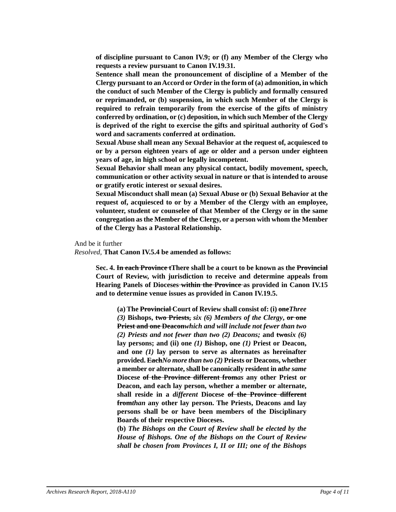**of discipline pursuant to Canon IV.9; or (f) any Member of the Clergy who requests a review pursuant to Canon IV.19.31.**

**Sentence shall mean the pronouncement of discipline of a Member of the Clergy pursuant to an Accord or Order in the form of (a) admonition, in which the conduct of such Member of the Clergy is publicly and formally censured or reprimanded, or (b) suspension, in which such Member of the Clergy is required to refrain temporarily from the exercise of the gifts of ministry conferred by ordination, or (c) deposition, in which such Member of the Clergy is deprived of the right to exercise the gifts and spiritual authority of God's word and sacraments conferred at ordination.**

**Sexual Abuse shall mean any Sexual Behavior at the request of, acquiesced to or by a person eighteen years of age or older and a person under eighteen years of age, in high school or legally incompetent.**

**Sexual Behavior shall mean any physical contact, bodily movement, speech, communication or other activity sexual in nature or that is intended to arouse or gratify erotic interest or sexual desires.**

**Sexual Misconduct shall mean (a) Sexual Abuse or (b) Sexual Behavior at the request of, acquiesced to or by a Member of the Clergy with an employee, volunteer, student or counselee of that Member of the Clergy or in the same congregation as the Member of the Clergy, or a person with whom the Member of the Clergy has a Pastoral Relationship.**

And be it further

*Resolved,* **That Canon IV.5.4 be amended as follows:**

**Sec. 4. In each Province tThere shall be a court to be known as the Provincial Court of Review, with jurisdiction to receive and determine appeals from Hearing Panels of Dioceses within the Province as provided in Canon IV.15 and to determine venue issues as provided in Canon IV.19.5.**

**(a) The Provincial Court of Review shall consist of: (i) one***Three (3)* **Bishops, two Priests,** *six (6) Members of the Clergy***, or one Priest and one Deacon***which and will include not fewer than two (2) Priests and not fewer than two (2) Deacons;* **and two***six (6)* **lay persons; and (ii) one** *(1)* **Bishop, one** *(1)* **Priest or Deacon, and one** *(1)* **lay person to serve as alternates as hereinafter provided. Each***No more than two (2)* **Priests or Deacons, whether a member or alternate, shall be canonically resident in a***the same* **Diocese of the Province different from***as* **any other Priest or Deacon, and each lay person, whether a member or alternate, shall reside in a** *different* **Diocese of the Province different from***than* **any other lay person. The Priests, Deacons and lay persons shall be or have been members of the Disciplinary Boards of their respective Dioceses.**

**(b)** *The Bishops on the Court of Review shall be elected by the House of Bishops. One of the Bishops on the Court of Review shall be chosen from Provinces I, II or III; one of the Bishops*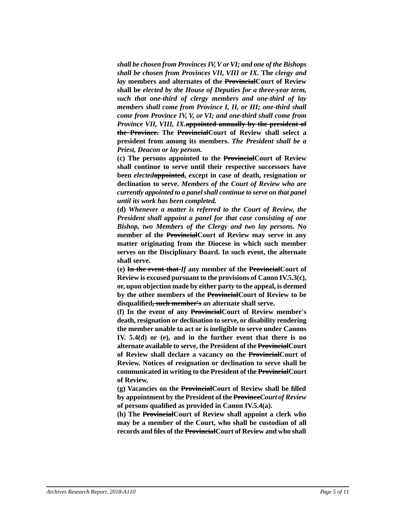*shall be chosen from Provinces IV, V or VI; and one of the Bishops shall be chosen from Provinces VII, VIII or IX.* **The** *clergy and lay* **members and alternates of the ProvincialCourt of Review shall be** *elected by the House of Deputies for a three-year term, such that one-third of clergy members and one-third of lay members shall come from Province I, II, or III; one-third shall come from Province IV, V, or VI; and one-third shall come from Province VII, VIII, IX.***appointed annually by the president of the Province. The ProvincialCourt of Review shall select a president from among its members.** *The President shall be a Priest, Deacon or lay person.*

**(c) The persons appointed to the ProvincialCourt of Review shall continue to serve until their respective successors have been** *elected***appointed, except in case of death, resignation or declination to serve.** *Members of the Court of Review who are currently appointed to a panel shall continue to serve on that panel until its work has been completed.*

**(d)** *Whenever a matter is referred to the Court of Review, the President shall appoint a panel for that case consisting of one Bishop, two Members of the Clergy and two lay persons.* **No member of the ProvincialCourt of Review may serve in any matter originating from the Diocese in which such member serves on the Disciplinary Board. In such event, the alternate shall serve.**

**(e) In the event that** *If* **any member of the ProvincialCourt of Review is excused pursuant to the provisions of Canon IV.5.3(c), or, upon objection made by either party to the appeal, is deemed by the other members of the ProvincialCourt of Review to be disqualified, such member's** *an* **alternate shall serve.**

**(f) In the event of any ProvincialCourt of Review member's death, resignation or declination to serve, or disability rendering the member unable to act or is ineligible to serve under Canons IV. 5.4(d) or (e), and in the further event that there is no alternate available to serve, the President of the ProvincialCourt of Review shall declare a vacancy on the ProvincialCourt of Review. Notices of resignation or declination to serve shall be communicated in writing to the President of the ProvincialCourt of Review.**

**(g) Vacancies on the ProvincialCourt of Review shall be filled by appointment by the President of the Province***Court of Review* **of persons qualified as provided in Canon IV.5.4(a).**

**(h) The ProvincialCourt of Review shall appoint a clerk who may be a member of the Court, who shall be custodian of all records and files of the ProvincialCourt of Review and who shall**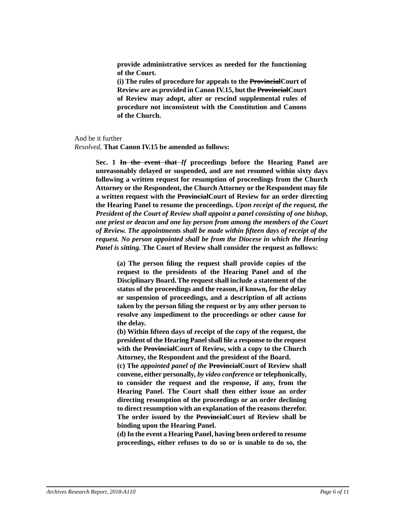**provide administrative services as needed for the functioning of the Court.**

**(i) The rules of procedure for appeals to the ProvincialCourt of Review are as provided in Canon IV.15, but the ProvincialCourt of Review may adopt, alter or rescind supplemental rules of procedure not inconsistent with the Constitution and Canons of the Church.**

And be it further

*Resolved*, **That Canon IV.15 be amended as follows:**

**Sec. 1 In the event that** *If* **proceedings before the Hearing Panel are unreasonably delayed or suspended, and are not resumed within sixty days following a written request for resumption of proceedings from the Church Attorney or the Respondent, the Church Attorney or the Respondent may file a written request with the ProvincialCourt of Review for an order directing the Hearing Panel to resume the proceedings.** *Upon receipt of the request, the President of the Court of Review shall appoint a panel consisting of one bishop, one priest or deacon and one lay person from among the members of the Court of Review. The appointments shall be made within fifteen days of receipt of the request. No person appointed shall be from the Diocese in which the Hearing Panel is sitting.* **The Court of Review shall consider the request as follows:**

**(a) The person filing the request shall provide copies of the request to the presidents of the Hearing Panel and of the Disciplinary Board. The request shall include a statement of the status of the proceedings and the reason, if known, for the delay or suspension of proceedings, and a description of all actions taken by the person filing the request or by any other person to resolve any impediment to the proceedings or other cause for the delay.**

**(b) Within fifteen days of receipt of the copy of the request, the president of the Hearing Panel shall file a response to the request with the ProvincialCourt of Review, with a copy to the Church Attorney, the Respondent and the president of the Board.**

**(c) The** *appointed panel of the* **ProvincialCourt of Review shall convene, either personally***, by video conference* **or telephonically, to consider the request and the response, if any, from the Hearing Panel. The Court shall then either issue an order directing resumption of the proceedings or an order declining to direct resumption with an explanation of the reasons therefor. The order issued by the ProvincialCourt of Review shall be binding upon the Hearing Panel.**

**(d) In the event a Hearing Panel, having been ordered to resume proceedings, either refuses to do so or is unable to do so, the**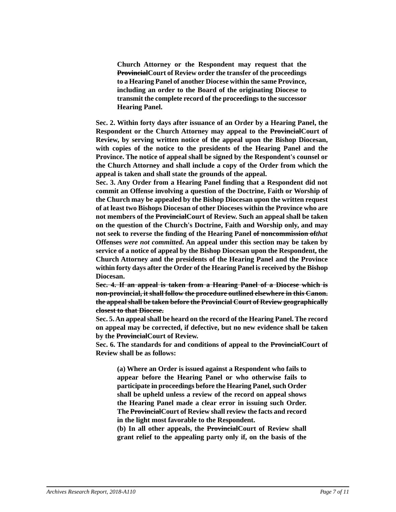**Church Attorney or the Respondent may request that the ProvincialCourt of Review order the transfer of the proceedings to a Hearing Panel of another Diocese within the same Province, including an order to the Board of the originating Diocese to transmit the complete record of the proceedings to the successor Hearing Panel.**

**Sec. 2. Within forty days after issuance of an Order by a Hearing Panel, the Respondent or the Church Attorney may appeal to the ProvincialCourt of Review, by serving written notice of the appeal upon the Bishop Diocesan, with copies of the notice to the presidents of the Hearing Panel and the Province. The notice of appeal shall be signed by the Respondent's counsel or the Church Attorney and shall include a copy of the Order from which the appeal is taken and shall state the grounds of the appeal.**

**Sec. 3. Any Order from a Hearing Panel finding that a Respondent did not commit an Offense involving a question of the Doctrine, Faith or Worship of the Church may be appealed by the Bishop Diocesan upon the written request of at least two Bishops Diocesan of other Dioceses within the Province who are not members of the ProvincialCourt of Review. Such an appeal shall be taken on the question of the Church's Doctrine, Faith and Worship only, and may not seek to reverse the finding of the Hearing Panel of noncommission of***that* **Offenses** *were not committed***. An appeal under this section may be taken by service of a notice of appeal by the Bishop Diocesan upon the Respondent, the Church Attorney and the presidents of the Hearing Panel and the Province within forty days after the Order of the Hearing Panel is received by the Bishop Diocesan.**

**Sec. 4. If an appeal is taken from a Hearing Panel of a Diocese which is non-provincial, it shall follow the procedure outlined elsewhere in this Canon. the appeal shall be taken before the Provincial Court of Review geographically closest to that Diocese.**

**Sec. 5. An appeal shall be heard on the record of the Hearing Panel. The record on appeal may be corrected, if defective, but no new evidence shall be taken by the ProvincialCourt of Review.**

**Sec. 6. The standards for and conditions of appeal to the ProvincialCourt of Review shall be as follows:**

**(a) Where an Order is issued against a Respondent who fails to appear before the Hearing Panel or who otherwise fails to participate in proceedings before the Hearing Panel, such Order shall be upheld unless a review of the record on appeal shows the Hearing Panel made a clear error in issuing such Order. The ProvincialCourt of Review shall review the facts and record in the light most favorable to the Respondent.**

**(b) In all other appeals, the ProvincialCourt of Review shall grant relief to the appealing party only if, on the basis of the**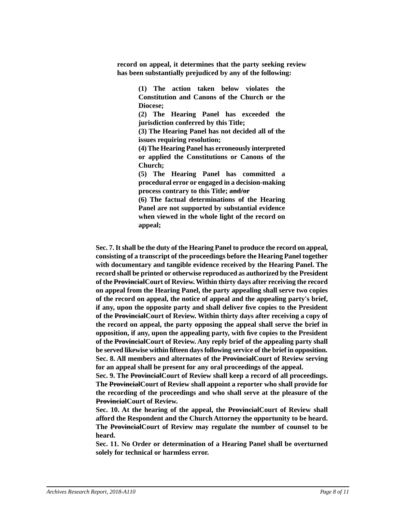**record on appeal, it determines that the party seeking review has been substantially prejudiced by any of the following:**

> **(1) The action taken below violates the Constitution and Canons of the Church or the Diocese;**

> **(2) The Hearing Panel has exceeded the jurisdiction conferred by this Title;**

> **(3) The Hearing Panel has not decided all of the issues requiring resolution;**

> **(4) The Hearing Panel has erroneously interpreted or applied the Constitutions or Canons of the Church;**

> **(5) The Hearing Panel has committed a procedural error or engaged in a decision-making process contrary to this Title; and/or**

> **(6) The factual determinations of the Hearing Panel are not supported by substantial evidence when viewed in the whole light of the record on appeal;**

**Sec. 7. It shall be the duty of the Hearing Panel to produce the record on appeal, consisting of a transcript of the proceedings before the Hearing Panel together with documentary and tangible evidence received by the Hearing Panel. The record shall be printed or otherwise reproduced as authorized by the President of the ProvincialCourt of Review. Within thirty days after receiving the record on appeal from the Hearing Panel, the party appealing shall serve two copies of the record on appeal, the notice of appeal and the appealing party's brief, if any, upon the opposite party and shall deliver five copies to the President of the ProvincialCourt of Review. Within thirty days after receiving a copy of the record on appeal, the party opposing the appeal shall serve the brief in opposition, if any, upon the appealing party, with five copies to the President of the ProvincialCourt of Review. Any reply brief of the appealing party shall be served likewise within fifteen days following service of the brief in opposition. Sec. 8. All members and alternates of the ProvincialCourt of Review serving for an appeal shall be present for any oral proceedings of the appeal.**

**Sec. 9. The ProvincialCourt of Review shall keep a record of all proceedings. The ProvincialCourt of Review shall appoint a reporter who shall provide for the recording of the proceedings and who shall serve at the pleasure of the ProvincialCourt of Review.**

**Sec. 10. At the hearing of the appeal, the ProvincialCourt of Review shall afford the Respondent and the Church Attorney the opportunity to be heard. The ProvincialCourt of Review may regulate the number of counsel to be heard.**

**Sec. 11. No Order or determination of a Hearing Panel shall be overturned solely for technical or harmless error.**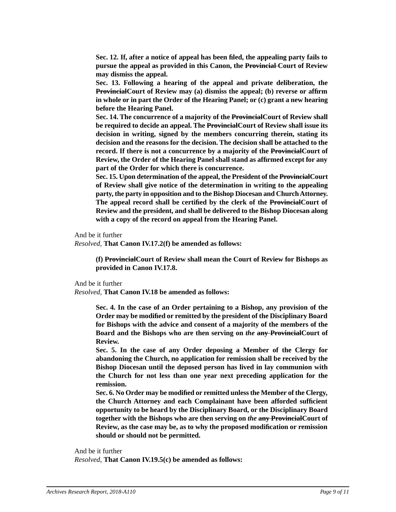**Sec. 12. If, after a notice of appeal has been filed, the appealing party fails to pursue the appeal as provided in this Canon, the Provincial Court of Review may dismiss the appeal.**

**Sec. 13. Following a hearing of the appeal and private deliberation, the ProvincialCourt of Review may (a) dismiss the appeal; (b) reverse or affirm in whole or in part the Order of the Hearing Panel; or (c) grant a new hearing before the Hearing Panel.**

**Sec. 14. The concurrence of a majority of the ProvincialCourt of Review shall be required to decide an appeal. The ProvincialCourt of Review shall issue its decision in writing, signed by the members concurring therein, stating its decision and the reasons for the decision. The decision shall be attached to the record. If there is not a concurrence by a majority of the ProvincialCourt of Review, the Order of the Hearing Panel shall stand as affirmed except for any part of the Order for which there is concurrence.**

**Sec. 15. Upon determination of the appeal, the President of the ProvincialCourt of Review shall give notice of the determination in writing to the appealing party, the party in opposition and to the Bishop Diocesan and Church Attorney. The appeal record shall be certified by the clerk of the ProvincialCourt of Review and the president, and shall be delivered to the Bishop Diocesan along with a copy of the record on appeal from the Hearing Panel.**

And be it further

*Resolved*, **That Canon IV.17.2(f) be amended as follows:**

**(f) ProvincialCourt of Review shall mean the Court of Review for Bishops as provided in Canon IV.17.8.**

And be it further

*Resolved*, **That Canon IV.18 be amended as follows:**

**Sec. 4. In the case of an Order pertaining to a Bishop, any provision of the Order may be modified or remitted by the president of the Disciplinary Board for Bishops with the advice and consent of a majority of the members of the Board and the Bishops who are then serving on** *the* **any ProvincialCourt of Review.**

**Sec. 5. In the case of any Order deposing a Member of the Clergy for abandoning the Church, no application for remission shall be received by the Bishop Diocesan until the deposed person has lived in lay communion with the Church for not less than one year next preceding application for the remission.**

**Sec. 6. No Order may be modified or remitted unless the Member of the Clergy, the Church Attorney and each Complainant have been afforded sufficient opportunity to be heard by the Disciplinary Board, or the Disciplinary Board together with the Bishops who are then serving on** *the* **any ProvincialCourt of Review, as the case may be, as to why the proposed modification or remission should or should not be permitted.**

And be it further

*Resolved*, **That Canon IV.19.5(c) be amended as follows:**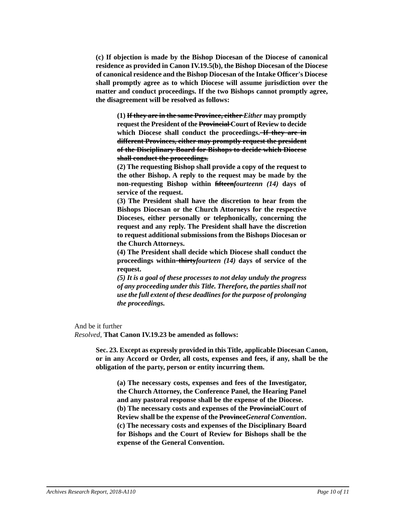**(c) If objection is made by the Bishop Diocesan of the Diocese of canonical residence as provided in Canon IV.19.5(b), the Bishop Diocesan of the Diocese of canonical residence and the Bishop Diocesan of the Intake Officer's Diocese shall promptly agree as to which Diocese will assume jurisdiction over the matter and conduct proceedings. If the two Bishops cannot promptly agree, the disagreement will be resolved as follows:**

**(1) If they are in the same Province, either** *Either* **may promptly request the President of the Provincial Court of Review to decide which Diocese shall conduct the proceedings. If they are in different Provinces, either may promptly request the president of the Disciplinary Board for Bishops to decide which Diocese shall conduct the proceedings.**

**(2) The requesting Bishop shall provide a copy of the request to the other Bishop. A reply to the request may be made by the non-requesting Bishop within fifteen***fourteenn (14)* **days of service of the request.**

**(3) The President shall have the discretion to hear from the Bishops Diocesan or the Church Attorneys for the respective Dioceses, either personally or telephonically, concerning the request and any reply. The President shall have the discretion to request additional submissions from the Bishops Diocesan or the Church Attorneys.**

**(4) The President shall decide which Diocese shall conduct the proceedings within thirty***fourteen (14)* **days of service of the request.**

*(5) It is a goal of these processes to not delay unduly the progress of any proceeding under this Title. Therefore, the parties shall not use the full extent of these deadlines for the purpose of prolonging the proceedings.*

And be it further

*Resolved*, **That Canon IV.19.23 be amended as follows:**

**Sec. 23. Except as expressly provided in this Title, applicable Diocesan Canon, or in any Accord or Order, all costs, expenses and fees, if any, shall be the obligation of the party, person or entity incurring them.**

**(a) The necessary costs, expenses and fees of the Investigator, the Church Attorney, the Conference Panel, the Hearing Panel and any pastoral response shall be the expense of the Diocese. (b) The necessary costs and expenses of the ProvincialCourt of Review shall be the expense of the Province***General Convention***. (c) The necessary costs and expenses of the Disciplinary Board for Bishops and the Court of Review for Bishops shall be the expense of the General Convention.**